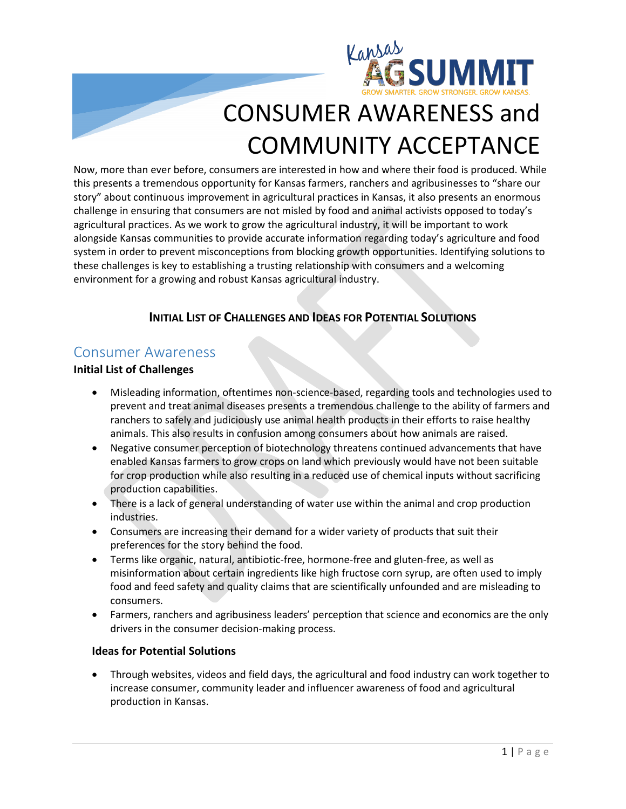

# CONSUMER AWARENESS and COMMUNITY ACCEPTANCE

Now, more than ever before, consumers are interested in how and where their food is produced. While this presents a tremendous opportunity for Kansas farmers, ranchers and agribusinesses to "share our story" about continuous improvement in agricultural practices in Kansas, it also presents an enormous challenge in ensuring that consumers are not misled by food and animal activists opposed to today's agricultural practices. As we work to grow the agricultural industry, it will be important to work alongside Kansas communities to provide accurate information regarding today's agriculture and food system in order to prevent misconceptions from blocking growth opportunities. Identifying solutions to these challenges is key to establishing a trusting relationship with consumers and a welcoming environment for a growing and robust Kansas agricultural industry.

### **INITIAL LIST OF CHALLENGES AND IDEAS FOR POTENTIAL SOLUTIONS**

## Consumer Awareness

#### **Initial List of Challenges**

- Misleading information, oftentimes non-science-based, regarding tools and technologies used to prevent and treat animal diseases presents a tremendous challenge to the ability of farmers and ranchers to safely and judiciously use animal health products in their efforts to raise healthy animals. This also results in confusion among consumers about how animals are raised.
- Negative consumer perception of biotechnology threatens continued advancements that have enabled Kansas farmers to grow crops on land which previously would have not been suitable for crop production while also resulting in a reduced use of chemical inputs without sacrificing production capabilities.
- There is a lack of general understanding of water use within the animal and crop production industries.
- Consumers are increasing their demand for a wider variety of products that suit their preferences for the story behind the food.
- Terms like organic, natural, antibiotic-free, hormone-free and gluten-free, as well as misinformation about certain ingredients like high fructose corn syrup, are often used to imply food and feed safety and quality claims that are scientifically unfounded and are misleading to consumers.
- Farmers, ranchers and agribusiness leaders' perception that science and economics are the only drivers in the consumer decision-making process.

#### **Ideas for Potential Solutions**

• Through websites, videos and field days, the agricultural and food industry can work together to increase consumer, community leader and influencer awareness of food and agricultural production in Kansas.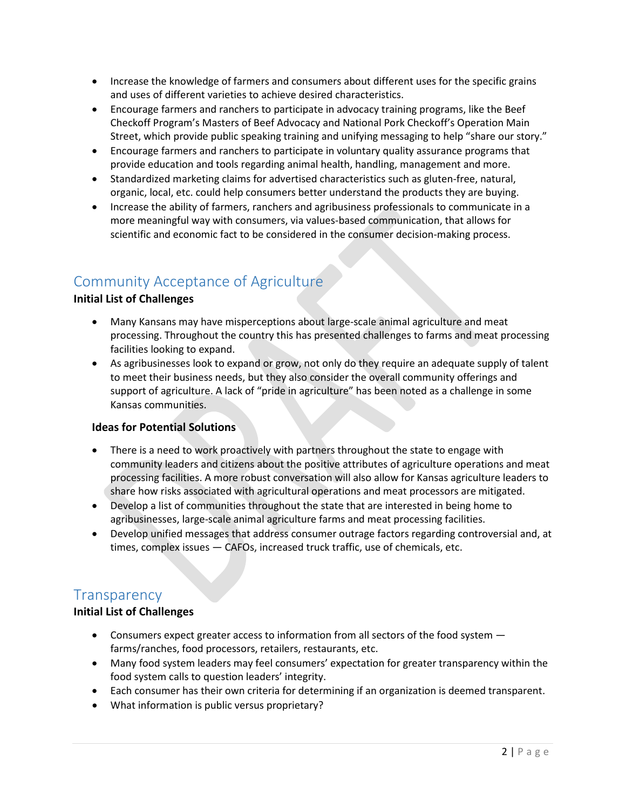- Increase the knowledge of farmers and consumers about different uses for the specific grains and uses of different varieties to achieve desired characteristics.
- Encourage farmers and ranchers to participate in advocacy training programs, like the Beef Checkoff Program's Masters of Beef Advocacy and National Pork Checkoff's Operation Main Street, which provide public speaking training and unifying messaging to help "share our story."
- Encourage farmers and ranchers to participate in voluntary quality assurance programs that provide education and tools regarding animal health, handling, management and more.
- Standardized marketing claims for advertised characteristics such as gluten-free, natural, organic, local, etc. could help consumers better understand the products they are buying.
- Increase the ability of farmers, ranchers and agribusiness professionals to communicate in a more meaningful way with consumers, via values-based communication, that allows for scientific and economic fact to be considered in the consumer decision-making process.

## Community Acceptance of Agriculture

#### **Initial List of Challenges**

- Many Kansans may have misperceptions about large-scale animal agriculture and meat processing. Throughout the country this has presented challenges to farms and meat processing facilities looking to expand.
- As agribusinesses look to expand or grow, not only do they require an adequate supply of talent to meet their business needs, but they also consider the overall community offerings and support of agriculture. A lack of "pride in agriculture" has been noted as a challenge in some Kansas communities.

#### **Ideas for Potential Solutions**

- There is a need to work proactively with partners throughout the state to engage with community leaders and citizens about the positive attributes of agriculture operations and meat processing facilities. A more robust conversation will also allow for Kansas agriculture leaders to share how risks associated with agricultural operations and meat processors are mitigated.
- Develop a list of communities throughout the state that are interested in being home to agribusinesses, large-scale animal agriculture farms and meat processing facilities.
- Develop unified messages that address consumer outrage factors regarding controversial and, at times, complex issues — CAFOs, increased truck traffic, use of chemicals, etc.

## **Transparency**

#### **Initial List of Challenges**

- Consumers expect greater access to information from all sectors of the food system farms/ranches, food processors, retailers, restaurants, etc.
- Many food system leaders may feel consumers' expectation for greater transparency within the food system calls to question leaders' integrity.
- Each consumer has their own criteria for determining if an organization is deemed transparent.
- What information is public versus proprietary?